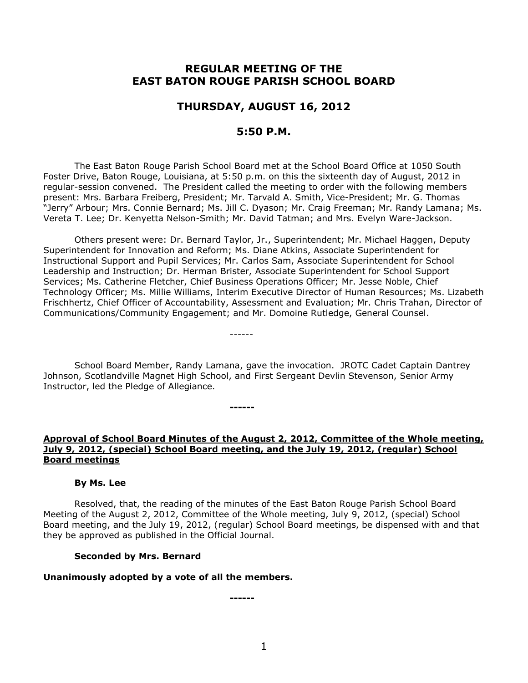# **REGULAR MEETING OF THE EAST BATON ROUGE PARISH SCHOOL BOARD**

# **THURSDAY, AUGUST 16, 2012**

# **5:50 P.M.**

The East Baton Rouge Parish School Board met at the School Board Office at 1050 South Foster Drive, Baton Rouge, Louisiana, at 5:50 p.m. on this the sixteenth day of August, 2012 in regular-session convened. The President called the meeting to order with the following members present: Mrs. Barbara Freiberg, President; Mr. Tarvald A. Smith, Vice-President; Mr. G. Thomas "Jerry" Arbour; Mrs. Connie Bernard; Ms. Jill C. Dyason; Mr. Craig Freeman; Mr. Randy Lamana; Ms. Vereta T. Lee; Dr. Kenyetta Nelson-Smith; Mr. David Tatman; and Mrs. Evelyn Ware-Jackson.

Others present were: Dr. Bernard Taylor, Jr., Superintendent; Mr. Michael Haggen, Deputy Superintendent for Innovation and Reform; Ms. Diane Atkins, Associate Superintendent for Instructional Support and Pupil Services; Mr. Carlos Sam, Associate Superintendent for School Leadership and Instruction; Dr. Herman Brister, Associate Superintendent for School Support Services; Ms. Catherine Fletcher, Chief Business Operations Officer; Mr. Jesse Noble, Chief Technology Officer; Ms. Millie Williams, Interim Executive Director of Human Resources; Ms. Lizabeth Frischhertz, Chief Officer of Accountability, Assessment and Evaluation; Mr. Chris Trahan, Director of Communications/Community Engagement; and Mr. Domoine Rutledge, General Counsel.

School Board Member, Randy Lamana, gave the invocation. JROTC Cadet Captain Dantrey Johnson, Scotlandville Magnet High School, and First Sergeant Devlin Stevenson, Senior Army Instructor, led the Pledge of Allegiance.

------

**------**

**Approval of School Board Minutes of the August 2, 2012, Committee of the Whole meeting, July 9, 2012, (special) School Board meeting, and the July 19, 2012, (regular) School Board meetings**

#### **By Ms. Lee**

Resolved, that, the reading of the minutes of the East Baton Rouge Parish School Board Meeting of the August 2, 2012, Committee of the Whole meeting, July 9, 2012, (special) School Board meeting, and the July 19, 2012, (regular) School Board meetings, be dispensed with and that they be approved as published in the Official Journal.

#### **Seconded by Mrs. Bernard**

#### **Unanimously adopted by a vote of all the members.**

**------**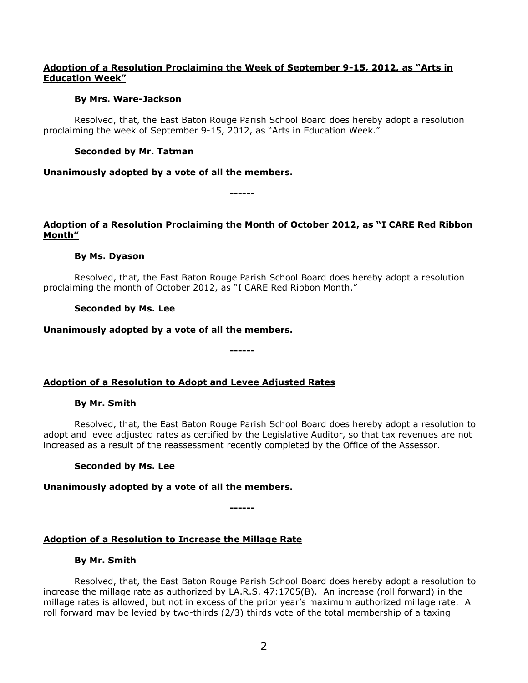# **Adoption of a Resolution Proclaiming the Week of September 9-15, 2012, as "Arts in Education Week"**

### **By Mrs. Ware-Jackson**

Resolved, that, the East Baton Rouge Parish School Board does hereby adopt a resolution proclaiming the week of September 9-15, 2012, as "Arts in Education Week."

# **Seconded by Mr. Tatman**

# **Unanimously adopted by a vote of all the members.**

**------**

# **Adoption of a Resolution Proclaiming the Month of October 2012, as "I CARE Red Ribbon Month"**

# **By Ms. Dyason**

Resolved, that, the East Baton Rouge Parish School Board does hereby adopt a resolution proclaiming the month of October 2012, as "I CARE Red Ribbon Month."

**------**

# **Seconded by Ms. Lee**

# **Unanimously adopted by a vote of all the members.**

# **Adoption of a Resolution to Adopt and Levee Adjusted Rates**

### **By Mr. Smith**

Resolved, that, the East Baton Rouge Parish School Board does hereby adopt a resolution to adopt and levee adjusted rates as certified by the Legislative Auditor, so that tax revenues are not increased as a result of the reassessment recently completed by the Office of the Assessor.

### **Seconded by Ms. Lee**

### **Unanimously adopted by a vote of all the members.**

**------**

# **Adoption of a Resolution to Increase the Millage Rate**

### **By Mr. Smith**

Resolved, that, the East Baton Rouge Parish School Board does hereby adopt a resolution to increase the millage rate as authorized by LA.R.S. 47:1705(B). An increase (roll forward) in the millage rates is allowed, but not in excess of the prior year's maximum authorized millage rate. A roll forward may be levied by two-thirds (2/3) thirds vote of the total membership of a taxing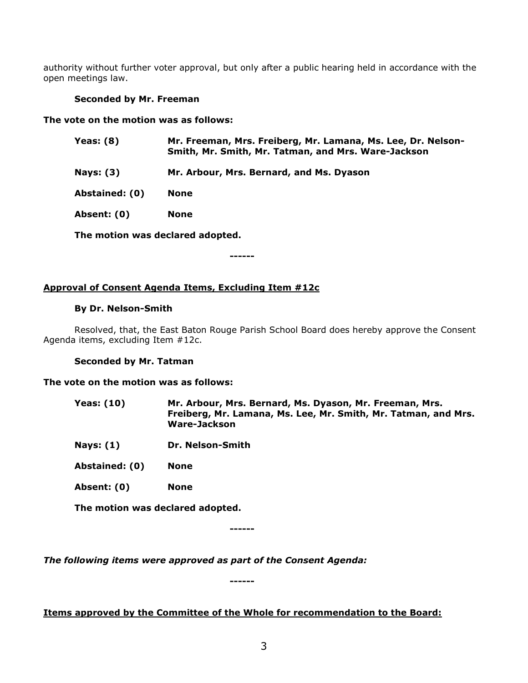authority without further voter approval, but only after a public hearing held in accordance with the open meetings law.

# **Seconded by Mr. Freeman**

### **The vote on the motion was as follows:**

| Yeas: $(8)$    | Mr. Freeman, Mrs. Freiberg, Mr. Lamana, Ms. Lee, Dr. Nelson-<br>Smith, Mr. Smith, Mr. Tatman, and Mrs. Ware-Jackson |
|----------------|---------------------------------------------------------------------------------------------------------------------|
| Nays: $(3)$    | Mr. Arbour, Mrs. Bernard, and Ms. Dyason                                                                            |
| Abstained: (0) | None                                                                                                                |
| Absent: (0)    | <b>None</b>                                                                                                         |
|                | The motion was declared adopted.                                                                                    |

**------**

# **Approval of Consent Agenda Items, Excluding Item #12c**

### **By Dr. Nelson-Smith**

Resolved, that, the East Baton Rouge Parish School Board does hereby approve the Consent Agenda items, excluding Item #12c.

### **Seconded by Mr. Tatman**

### **The vote on the motion was as follows:**

- **Yeas: (10) Mr. Arbour, Mrs. Bernard, Ms. Dyason, Mr. Freeman, Mrs. Freiberg, Mr. Lamana, Ms. Lee, Mr. Smith, Mr. Tatman, and Mrs. Ware-Jackson**
- **Nays: (1) Dr. Nelson-Smith**

**Abstained: (0) None**

**Absent: (0) None**

**The motion was declared adopted.**

**------**

*The following items were approved as part of the Consent Agenda:*

**------**

# **Items approved by the Committee of the Whole for recommendation to the Board:**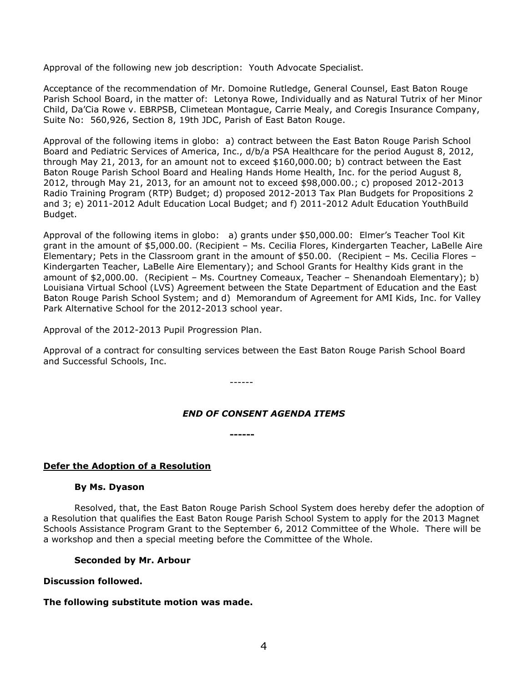Approval of the following new job description: Youth Advocate Specialist.

Acceptance of the recommendation of Mr. Domoine Rutledge, General Counsel, East Baton Rouge Parish School Board, in the matter of: Letonya Rowe, Individually and as Natural Tutrix of her Minor Child, Da'Cia Rowe v. EBRPSB, Climetean Montague, Carrie Mealy, and Coregis Insurance Company, Suite No: 560,926, Section 8, 19th JDC, Parish of East Baton Rouge.

Approval of the following items in globo: a) contract between the East Baton Rouge Parish School Board and Pediatric Services of America, Inc., d/b/a PSA Healthcare for the period August 8, 2012, through May 21, 2013, for an amount not to exceed \$160,000.00; b) contract between the East Baton Rouge Parish School Board and Healing Hands Home Health, Inc. for the period August 8, 2012, through May 21, 2013, for an amount not to exceed \$98,000.00.; c) proposed 2012-2013 Radio Training Program (RTP) Budget; d) proposed 2012-2013 Tax Plan Budgets for Propositions 2 and 3; e) 2011-2012 Adult Education Local Budget; and f) 2011-2012 Adult Education YouthBuild Budget.

Approval of the following items in globo: a) grants under \$50,000.00: Elmer's Teacher Tool Kit grant in the amount of \$5,000.00. (Recipient – Ms. Cecilia Flores, Kindergarten Teacher, LaBelle Aire Elementary; Pets in the Classroom grant in the amount of \$50.00. (Recipient – Ms. Cecilia Flores – Kindergarten Teacher, LaBelle Aire Elementary); and School Grants for Healthy Kids grant in the amount of \$2,000.00. (Recipient – Ms. Courtney Comeaux, Teacher – Shenandoah Elementary); b) Louisiana Virtual School (LVS) Agreement between the State Department of Education and the East Baton Rouge Parish School System; and d) Memorandum of Agreement for AMI Kids, Inc. for Valley Park Alternative School for the 2012-2013 school year.

Approval of the 2012-2013 Pupil Progression Plan.

Approval of a contract for consulting services between the East Baton Rouge Parish School Board and Successful Schools, Inc.

------

### *END OF CONSENT AGENDA ITEMS*

**------**

### **Defer the Adoption of a Resolution**

### **By Ms. Dyason**

Resolved, that, the East Baton Rouge Parish School System does hereby defer the adoption of a Resolution that qualifies the East Baton Rouge Parish School System to apply for the 2013 Magnet Schools Assistance Program Grant to the September 6, 2012 Committee of the Whole. There will be a workshop and then a special meeting before the Committee of the Whole.

**Seconded by Mr. Arbour**

### **Discussion followed.**

### **The following substitute motion was made.**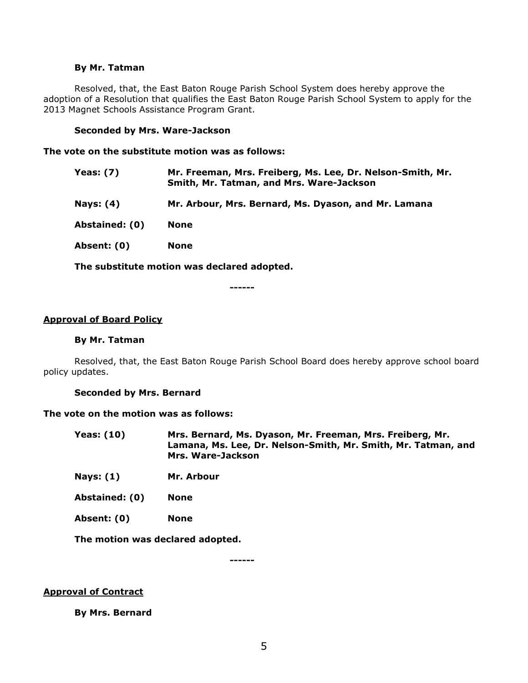#### **By Mr. Tatman**

Resolved, that, the East Baton Rouge Parish School System does hereby approve the adoption of a Resolution that qualifies the East Baton Rouge Parish School System to apply for the 2013 Magnet Schools Assistance Program Grant.

#### **Seconded by Mrs. Ware-Jackson**

**The vote on the substitute motion was as follows:**

| <b>Yeas: (7)</b> | Mr. Freeman, Mrs. Freiberg, Ms. Lee, Dr. Nelson-Smith, Mr.<br>Smith, Mr. Tatman, and Mrs. Ware-Jackson |
|------------------|--------------------------------------------------------------------------------------------------------|
| <b>Nays: (4)</b> | Mr. Arbour, Mrs. Bernard, Ms. Dyason, and Mr. Lamana                                                   |
| Abstained: (0)   | <b>None</b>                                                                                            |
| Absent: (0)      | <b>None</b>                                                                                            |
|                  |                                                                                                        |

**The substitute motion was declared adopted.**

**------**

#### **Approval of Board Policy**

#### **By Mr. Tatman**

Resolved, that, the East Baton Rouge Parish School Board does hereby approve school board policy updates.

#### **Seconded by Mrs. Bernard**

#### **The vote on the motion was as follows:**

- **Yeas: (10) Mrs. Bernard, Ms. Dyason, Mr. Freeman, Mrs. Freiberg, Mr. Lamana, Ms. Lee, Dr. Nelson-Smith, Mr. Smith, Mr. Tatman, and Mrs. Ware-Jackson**
- **Nays: (1) Mr. Arbour**

**Abstained: (0) None**

**Absent: (0) None**

**The motion was declared adopted.**

**------**

#### **Approval of Contract**

**By Mrs. Bernard**